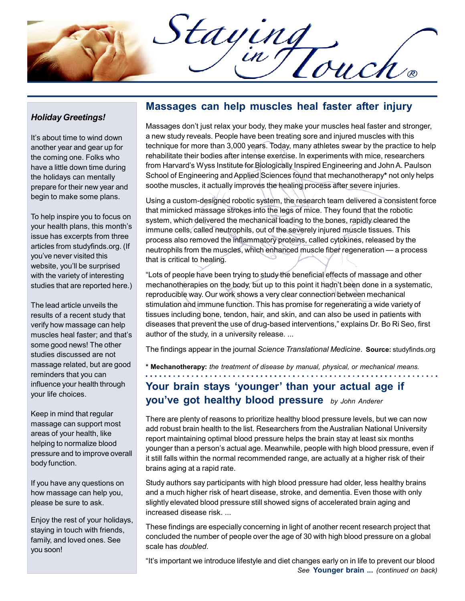Staying

## Holiday Greetings!

It's about time to wind down another year and gear up for the coming one. Folks who have a little down time during the holidays can mentally prepare for their new year and begin to make some plans.

To help inspire you to focus on your health plans, this month's issue has excerpts from three articles from studyfinds.org. (If you've never visited this website, you'll be surprised with the variety of interesting studies that are reported here.)

The lead article unveils the results of a recent study that verify how massage can help muscles heal faster; and that's some good news! The other studies discussed are not massage related, but are good reminders that you can influence your health through your life choices.

Keep in mind that regular massage can support most areas of your health, like helping to normalize blood pressure and to improve overall body function.

If you have any questions on how massage can help you, please be sure to ask.

Enjoy the rest of your holidays, staying in touch with friends, family, and loved ones. See you soon!

## Massages can help muscles heal faster after injury

Massages don't just relax your body, they make your muscles heal faster and stronger, a new study reveals. People have been treating sore and injured muscles with this technique for more than 3,000 years. Today, many athletes swear by the practice to help rehabilitate their bodies after intense exercise. In experiments with mice, researchers from Harvard's Wyss Institute for Biologically Inspired Engineering and John A. Paulson School of Engineering and Applied Sciences found that mechanotherapy\* not only helps soothe muscles, it actually improves the healing process after severe injuries.

Using a custom-designed robotic system, the research team delivered a consistent force that mimicked massage strokes into the legs of mice. They found that the robotic system, which delivered the mechanical loading to the bones, rapidly cleared the immune cells, called neutrophils, out of the severely injured muscle tissues. This process also removed the inflammatory proteins, called cytokines, released by the neutrophils from the muscles, which enhanced muscle fiber regeneration — a process that is critical to healing.

"Lots of people have been trying to study the beneficial effects of massage and other mechanotherapies on the body, but up to this point it hadn't been done in a systematic, reproducible way. Our work shows a very clear connection between mechanical stimulation and immune function. This has promise for regenerating a wide variety of tissues including bone, tendon, hair, and skin, and can also be used in patients with diseases that prevent the use of drug-based interventions," explains Dr. Bo Ri Seo, first author of the study, in a university release. ...

The findings appear in the journal Science Translational Medicine. Source: studyfinds.org

\* Mechanotherapy: the treatment of disease by manual, physical, or mechanical means.

## Your brain stays 'younger' than your actual age if you've got healthy blood pressure by John Anderer

There are plenty of reasons to prioritize healthy blood pressure levels, but we can now add robust brain health to the list. Researchers from the Australian National University report maintaining optimal blood pressure helps the brain stay at least six months younger than a person's actual age. Meanwhile, people with high blood pressure, even if it still falls within the normal recommended range, are actually at a higher risk of their brains aging at a rapid rate.

Study authors say participants with high blood pressure had older, less healthy brains and a much higher risk of heart disease, stroke, and dementia. Even those with only slightly elevated blood pressure still showed signs of accelerated brain aging and increased disease risk. ...

These findings are especially concerning in light of another recent research project that concluded the number of people over the age of 30 with high blood pressure on a global scale has *doubled*.

"It's important we introduce lifestyle and diet changes early on in life to prevent our blood See Younger brain ... (continued on back)